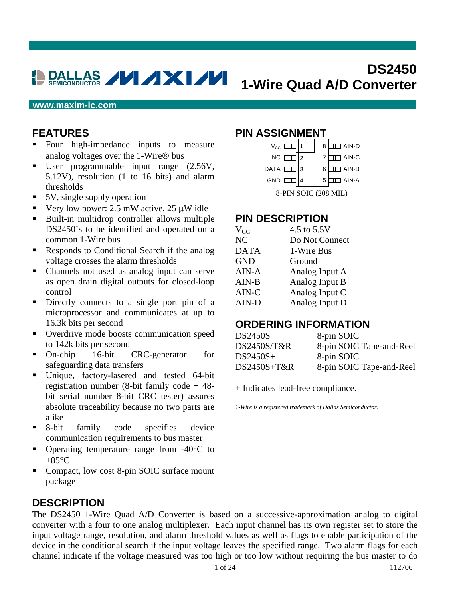# **DS2450 1-Wire Quad A/D Converter**

#### **www.maxim-ic.com**

## **FEATURES**

- Four high-impedance inputs to measure analog voltages over the 1-Wire® bus
- User programmable input range  $(2.56V,$ 5.12V), resolution (1 to 16 bits) and alarm thresholds
- 5V, single supply operation
- Very low power: 2.5 mW active,  $25 \mu W$  idle
- Built-in multidrop controller allows multiple DS2450's to be identified and operated on a common 1-Wire bus
- Responds to Conditional Search if the analog voltage crosses the alarm thresholds
- Channels not used as analog input can serve as open drain digital outputs for closed-loop control
- Directly connects to a single port pin of a microprocessor and communicates at up to 16.3k bits per second
- Overdrive mode boosts communication speed to 142k bits per second
- On-chip 16-bit CRC-generator for safeguarding data transfers
- Unique, factory-lasered and tested 64-bit registration number (8-bit family code + 48 bit serial number 8-bit CRC tester) assures absolute traceability because no two parts are alike
- 8-bit family code specifies device communication requirements to bus master
- Operating temperature range from -40°C to  $+85^{\circ}$ C
- Compact, low cost 8-pin SOIC surface mount package

#### **DESCRIPTION**

#### **PIN ASSIGNMENT**

| $V_{\text{cc}}$ $\Box$ |   | 8 | AIN-D             |  |  |  |
|------------------------|---|---|-------------------|--|--|--|
| $NC$ $\Box$            | 2 |   | ] AIN-C           |  |  |  |
| DATA L                 | 3 | 6 | AIN-B             |  |  |  |
| $GND$ $\Box$           |   | 5 | $\sqsupset$ AIN-A |  |  |  |
| 8-PIN SOIC (208 MIL)   |   |   |                   |  |  |  |

#### **PIN DESCRIPTION**

| $V_{CC}$    | 4.5 to 5.5V    |
|-------------|----------------|
| NC          | Do Not Connect |
| <b>DATA</b> | 1-Wire Bus     |
| <b>GND</b>  | Ground         |
| $AIN-A$     | Analog Input A |
| $AIN-B$     | Analog Input B |
| AIN-C       | Analog Input C |
| AIN-D       | Analog Input D |
|             |                |

#### **ORDERING INFORMATION**

| <b>DS2450S</b> | 8-pin SOIC               |
|----------------|--------------------------|
| DS2450S/T&R    | 8-pin SOIC Tape-and-Reel |
| $DS2450S+$     | 8-pin SOIC               |
| $DS2450S+T\&R$ | 8-pin SOIC Tape-and-Reel |

+ Indicates lead-free compliance.

*1-Wire is a registered trademark of Dallas Semiconductor.*

The DS2450 1-Wire Quad A/D Converter is based on a successive-approximation analog to digital converter with a four to one analog multiplexer. Each input channel has its own register set to store the input voltage range, resolution, and alarm threshold values as well as flags to enable participation of the device in the conditional search if the input voltage leaves the specified range. Two alarm flags for each channel indicate if the voltage measured was too high or too low without requiring the bus master to do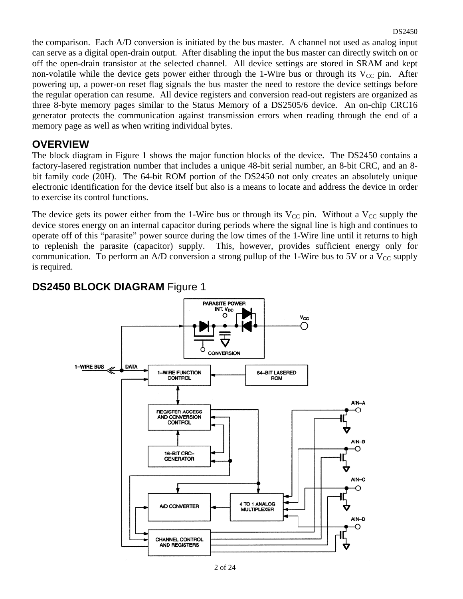the comparison. Each A/D conversion is initiated by the bus master. A channel not used as analog input can serve as a digital open-drain output. After disabling the input the bus master can directly switch on or off the open-drain transistor at the selected channel. All device settings are stored in SRAM and kept non-volatile while the device gets power either through the 1-Wire bus or through its  $V_{CC}$  pin. After powering up, a power-on reset flag signals the bus master the need to restore the device settings before the regular operation can resume. All device registers and conversion read-out registers are organized as three 8-byte memory pages similar to the Status Memory of a DS2505/6 device. An on-chip CRC16 generator protects the communication against transmission errors when reading through the end of a memory page as well as when writing individual bytes.

#### **OVERVIEW**

The block diagram in Figure 1 shows the major function blocks of the device. The DS2450 contains a factory-lasered registration number that includes a unique 48-bit serial number, an 8-bit CRC, and an 8 bit family code (20H). The 64-bit ROM portion of the DS2450 not only creates an absolutely unique electronic identification for the device itself but also is a means to locate and address the device in order to exercise its control functions.

The device gets its power either from the 1-Wire bus or through its  $V_{CC}$  pin. Without a  $V_{CC}$  supply the device stores energy on an internal capacitor during periods where the signal line is high and continues to operate off of this "parasite" power source during the low times of the 1-Wire line until it returns to high to replenish the parasite (capacitor) supply. This, however, provides sufficient energy only for communication. To perform an A/D conversion a strong pullup of the 1-Wire bus to 5V or a  $V_{CC}$  supply is required.



#### **DS2450 BLOCK DIAGRAM** Figure 1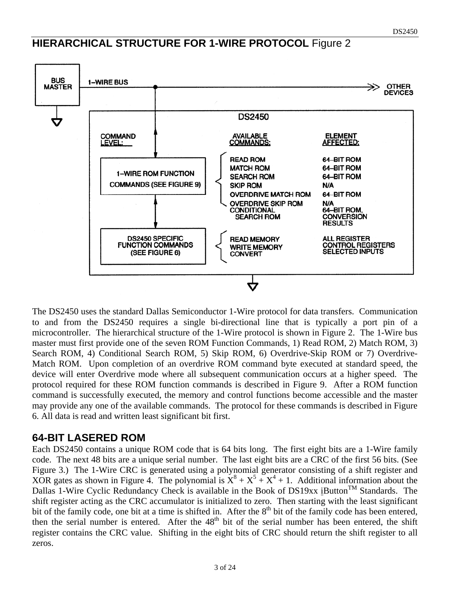## **HIERARCHICAL STRUCTURE FOR 1-WIRE PROTOCOL** Figure 2



The DS2450 uses the standard Dallas Semiconductor 1-Wire protocol for data transfers. Communication to and from the DS2450 requires a single bi-directional line that is typically a port pin of a microcontroller. The hierarchical structure of the 1-Wire protocol is shown in Figure 2. The 1-Wire bus master must first provide one of the seven ROM Function Commands, 1) Read ROM, 2) Match ROM, 3) Search ROM, 4) Conditional Search ROM, 5) Skip ROM, 6) Overdrive-Skip ROM or 7) Overdrive-Match ROM. Upon completion of an overdrive ROM command byte executed at standard speed, the device will enter Overdrive mode where all subsequent communication occurs at a higher speed. The protocol required for these ROM function commands is described in Figure 9. After a ROM function command is successfully executed, the memory and control functions become accessible and the master may provide any one of the available commands. The protocol for these commands is described in Figure 6. All data is read and written least significant bit first.

#### **64-BIT LASERED ROM**

Each DS2450 contains a unique ROM code that is 64 bits long. The first eight bits are a 1-Wire family code. The next 48 bits are a unique serial number. The last eight bits are a CRC of the first 56 bits. (See Figure 3.) The 1-Wire CRC is generated using a polynomial generator consisting of a shift register and XOR gates as shown in Figure 4. The polynomial is  $\dot{X}^8 + X^5 + X^4 + 1$ . Additional information about the Dallas 1-Wire Cyclic Redundancy Check is available in the Book of DS19xx iButton™ Standards. The shift register acting as the CRC accumulator is initialized to zero. Then starting with the least significant bit of the family code, one bit at a time is shifted in. After the  $8<sup>th</sup>$  bit of the family code has been entered, then the serial number is entered. After the  $48<sup>th</sup>$  bit of the serial number has been entered, the shift register contains the CRC value. Shifting in the eight bits of CRC should return the shift register to all zeros.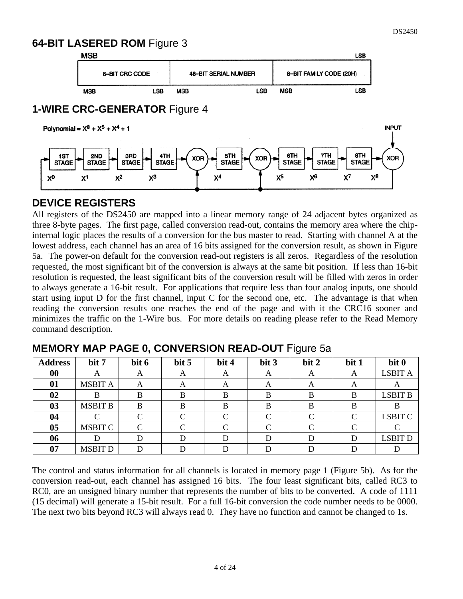**INPUT** 

#### **64-BIT LASERED ROM** Figure 3



**1-WIRE** 

| MSB        |                               |            |                             |            | <b>LSB</b>              |
|------------|-------------------------------|------------|-----------------------------|------------|-------------------------|
|            | 8-BIT CRC CODE                |            | <b>48-BIT SERIAL NUMBER</b> |            | 8-BIT FAMILY CODE (20H) |
| <b>MSB</b> | <b>LSB</b>                    | <b>MSB</b> | <b>LSB</b>                  | <b>MSB</b> | <b>LSB</b>              |
|            | <b>CRC-GENERATOR Figure 4</b> |            |                             |            |                         |

Polynomial =  $X^8 + X^5 + X^4 + 1$ 



#### **DEVICE REGISTERS**

All registers of the DS2450 are mapped into a linear memory range of 24 adjacent bytes organized as three 8-byte pages. The first page, called conversion read-out, contains the memory area where the chipinternal logic places the results of a conversion for the bus master to read. Starting with channel A at the lowest address, each channel has an area of 16 bits assigned for the conversion result, as shown in Figure 5a. The power-on default for the conversion read-out registers is all zeros. Regardless of the resolution requested, the most significant bit of the conversion is always at the same bit position. If less than 16-bit resolution is requested, the least significant bits of the conversion result will be filled with zeros in order to always generate a 16-bit result. For applications that require less than four analog inputs, one should start using input D for the first channel, input C for the second one, etc. The advantage is that when reading the conversion results one reaches the end of the page and with it the CRC16 sooner and minimizes the traffic on the 1-Wire bus. For more details on reading please refer to the Read Memory command description.

| <b>Address</b> | bit 7          | bit 6    | bit 5    | bit 4              | bit 3 | bit 2    | bit 1 | bit 0          |
|----------------|----------------|----------|----------|--------------------|-------|----------|-------|----------------|
| 00             | A              | $\Delta$ | A        | $\Delta$           | A     | $\Delta$ | A     | <b>LSBIT A</b> |
| 01             | <b>MSBIT A</b> | A        | $\Delta$ | A                  | A     | A        | A     | A              |
| 02             |                |          |          |                    | B     | B        | B     | <b>LSBIT B</b> |
| 03             | <b>MSBIT B</b> | B        |          |                    | в     | B        | В     |                |
| 04             |                |          |          | $\curvearrowright$ |       |          | C     | <b>LSBIT C</b> |
| 05             | <b>MSBIT C</b> |          |          | $\sqrt{ }$         |       |          | ⌒     |                |
| 06             | D              |          |          | D                  |       |          | D     | <b>LSBIT D</b> |
| 07             | <b>MSBIT D</b> |          |          |                    |       |          |       |                |

**MEMORY MAP PAGE 0, CONVERSION READ-OUT** Figure 5a

The control and status information for all channels is located in memory page 1 (Figure 5b). As for the conversion read-out, each channel has assigned 16 bits. The four least significant bits, called RC3 to RC0, are an unsigned binary number that represents the number of bits to be converted. A code of 1111 (15 decimal) will generate a 15-bit result. For a full 16-bit conversion the code number needs to be 0000. The next two bits beyond RC3 will always read 0. They have no function and cannot be changed to 1s.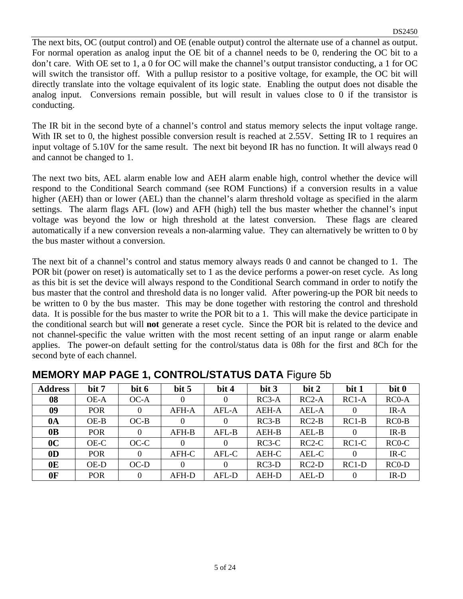The next bits, OC (output control) and OE (enable output) control the alternate use of a channel as output. For normal operation as analog input the OE bit of a channel needs to be 0, rendering the OC bit to a don't care. With OE set to 1, a 0 for OC will make the channel's output transistor conducting, a 1 for OC will switch the transistor off. With a pullup resistor to a positive voltage, for example, the OC bit will directly translate into the voltage equivalent of its logic state. Enabling the output does not disable the analog input. Conversions remain possible, but will result in values close to 0 if the transistor is conducting.

The IR bit in the second byte of a channel's control and status memory selects the input voltage range. With IR set to 0, the highest possible conversion result is reached at 2.55V. Setting IR to 1 requires an input voltage of 5.10V for the same result. The next bit beyond IR has no function. It will always read 0 and cannot be changed to 1.

The next two bits, AEL alarm enable low and AEH alarm enable high, control whether the device will respond to the Conditional Search command (see ROM Functions) if a conversion results in a value higher (AEH) than or lower (AEL) than the channel's alarm threshold voltage as specified in the alarm settings. The alarm flags AFL (low) and AFH (high) tell the bus master whether the channel's input voltage was beyond the low or high threshold at the latest conversion. These flags are cleared automatically if a new conversion reveals a non-alarming value. They can alternatively be written to 0 by the bus master without a conversion.

The next bit of a channel's control and status memory always reads 0 and cannot be changed to 1. The POR bit (power on reset) is automatically set to 1 as the device performs a power-on reset cycle. As long as this bit is set the device will always respond to the Conditional Search command in order to notify the bus master that the control and threshold data is no longer valid. After powering-up the POR bit needs to be written to 0 by the bus master. This may be done together with restoring the control and threshold data. It is possible for the bus master to write the POR bit to a 1. This will make the device participate in the conditional search but will **not** generate a reset cycle. Since the POR bit is related to the device and not channel-specific the value written with the most recent setting of an input range or alarm enable applies. The power-on default setting for the control/status data is 08h for the first and 8Ch for the second byte of each channel.

| <b>Address</b> | bit 7      | bit 6    | bit 5    | bit 4   | bit 3   | bit 2   | bit 1    | bit 0   |
|----------------|------------|----------|----------|---------|---------|---------|----------|---------|
| 08             | OE-A       | $OC-A$   | $\Omega$ |         | $RC3-A$ | $RC2-A$ | $RC1-A$  | $RC0-A$ |
| 09             | <b>POR</b> | $\theta$ | AFH-A    | AFL-A   | AEH-A   | AEL-A   | 0        | $IR-A$  |
| $0\text{A}$    | $OE-B$     | $OC-B$   | 0        |         | $RC3-B$ | $RC2-B$ | $RC1-B$  | $RC0-B$ |
| 0 <sub>B</sub> | <b>POR</b> | $\theta$ | AFH-B    | $AFL-B$ | AEH-B   | AEL-B   | $\theta$ | $IR-B$  |
| 0 <sup>C</sup> | OE-C       | $OC-C$   | 0        |         | $RC3-C$ | $RC2-C$ | $RC1-C$  | $RC0-C$ |
| 0 <sub>D</sub> | <b>POR</b> | $\theta$ | AFH-C    | AFL-C   | AEH-C   | AEL-C   | $\Omega$ | $IR-C$  |
| 0 <sub>E</sub> | OE-D       | $OC-D$   | 0        |         | $RC3-D$ | $RC2-D$ | $RC1-D$  | $RC0-D$ |
| 0 <sub>F</sub> | <b>POR</b> | $\Omega$ | AFH-D    | AFL-D   | AEH-D   | AEL-D   | 0        | $IR-D$  |

| <b>MEMORY MAP PAGE 1, CONTROL/STATUS DATA Figure 5b</b> |  |  |
|---------------------------------------------------------|--|--|
|---------------------------------------------------------|--|--|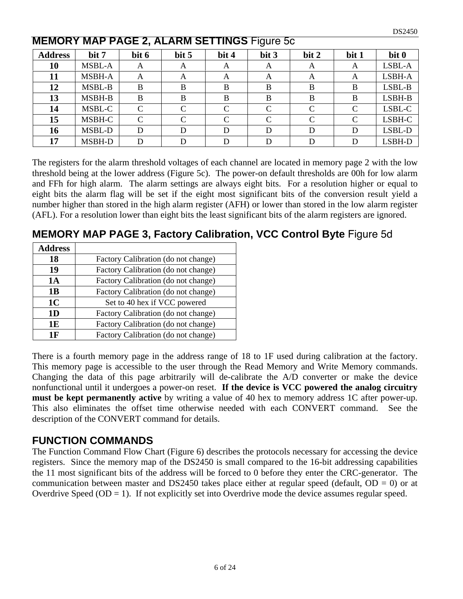|                |               |       |                    |           | ----- - <u>.</u> - . |       |       |        |
|----------------|---------------|-------|--------------------|-----------|----------------------|-------|-------|--------|
| <b>Address</b> | bit 7         | bit 6 | bit 5              | bit 4     | bit 3                | bit 2 | bit 1 | bit 0  |
| 10             | <b>MSBL-A</b> | A     | A                  | А         | A                    | A     | A     | LSBL-A |
| 11             | MSBH-A        | A     | А                  | А         | A                    | A     | А     | LSBH-A |
| 12             | MSBL-B        | B     | B                  | B         | B                    | B     | B     | LSBL-B |
| 13             | MSBH-B        | B     | B                  | B         | B                    | B     | B     | LSBH-B |
| 14             | MSBL-C        | C     | $\subset$          | $\Gamma$  | C                    | C     | C     | LSBL-C |
| 15             | MSBH-C        | C     | $\curvearrowright$ | $\subset$ |                      | C     | C     | LSBH-C |
| 16             | MSBL-D        | D     |                    |           | D                    | D     | D     | LSBL-D |
| 17             | MSBH-D        |       |                    |           |                      | D     | D     | LSBH-D |

#### **MEMORY MAP PAGE 2, ALARM SETTINGS** Figure 5c

The registers for the alarm threshold voltages of each channel are located in memory page 2 with the low threshold being at the lower address (Figure 5c). The power-on default thresholds are 00h for low alarm and FFh for high alarm. The alarm settings are always eight bits. For a resolution higher or equal to eight bits the alarm flag will be set if the eight most significant bits of the conversion result yield a number higher than stored in the high alarm register (AFH) or lower than stored in the low alarm register (AFL). For a resolution lower than eight bits the least significant bits of the alarm registers are ignored.

**MEMORY MAP PAGE 3, Factory Calibration, VCC Control Byte** Figure 5d

| <b>Address</b> |                                     |
|----------------|-------------------------------------|
| 18             | Factory Calibration (do not change) |
| 19             | Factory Calibration (do not change) |
| 1A             | Factory Calibration (do not change) |
| 1B             | Factory Calibration (do not change) |
| 1 <sub>C</sub> | Set to 40 hex if VCC powered        |
| 1D             | Factory Calibration (do not change) |
| 1E             | Factory Calibration (do not change) |
| 1 F            | Factory Calibration (do not change) |

There is a fourth memory page in the address range of 18 to 1F used during calibration at the factory. This memory page is accessible to the user through the Read Memory and Write Memory commands. Changing the data of this page arbitrarily will de-calibrate the A/D converter or make the device nonfunctional until it undergoes a power-on reset. **If the device is VCC powered the analog circuitry must be kept permanently active** by writing a value of 40 hex to memory address 1C after power-up. This also eliminates the offset time otherwise needed with each CONVERT command. See the description of the CONVERT command for details.

#### **FUNCTION COMMANDS**

The Function Command Flow Chart (Figure 6) describes the protocols necessary for accessing the device registers. Since the memory map of the DS2450 is small compared to the 16-bit addressing capabilities the 11 most significant bits of the address will be forced to 0 before they enter the CRC-generator. The communication between master and DS2450 takes place either at regular speed (default,  $OD = 0$ ) or at Overdrive Speed (OD = 1). If not explicitly set into Overdrive mode the device assumes regular speed.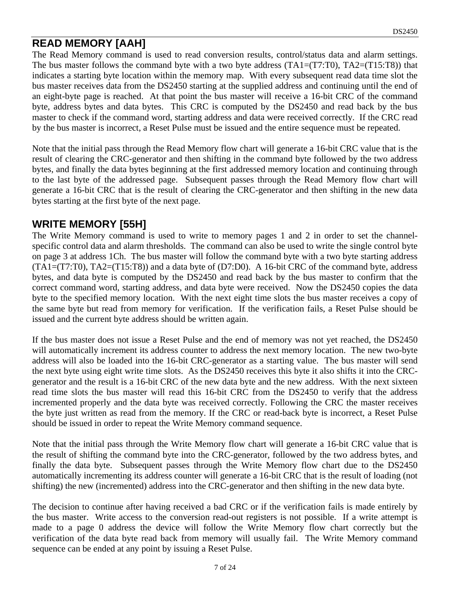## **READ MEMORY [AAH]**

The Read Memory command is used to read conversion results, control/status data and alarm settings. The bus master follows the command byte with a two byte address  $(TA1=(T7:T0), TA2=(T15:T8))$  that indicates a starting byte location within the memory map. With every subsequent read data time slot the bus master receives data from the DS2450 starting at the supplied address and continuing until the end of an eight-byte page is reached. At that point the bus master will receive a 16-bit CRC of the command byte, address bytes and data bytes. This CRC is computed by the DS2450 and read back by the bus master to check if the command word, starting address and data were received correctly. If the CRC read by the bus master is incorrect, a Reset Pulse must be issued and the entire sequence must be repeated.

Note that the initial pass through the Read Memory flow chart will generate a 16-bit CRC value that is the result of clearing the CRC-generator and then shifting in the command byte followed by the two address bytes, and finally the data bytes beginning at the first addressed memory location and continuing through to the last byte of the addressed page. Subsequent passes through the Read Memory flow chart will generate a 16-bit CRC that is the result of clearing the CRC-generator and then shifting in the new data bytes starting at the first byte of the next page.

#### **WRITE MEMORY [55H]**

The Write Memory command is used to write to memory pages 1 and 2 in order to set the channelspecific control data and alarm thresholds. The command can also be used to write the single control byte on page 3 at address 1Ch. The bus master will follow the command byte with a two byte starting address (TA1=(T7:T0), TA2=(T15:T8)) and a data byte of (D7:D0). A 16-bit CRC of the command byte, address bytes, and data byte is computed by the DS2450 and read back by the bus master to confirm that the correct command word, starting address, and data byte were received. Now the DS2450 copies the data byte to the specified memory location. With the next eight time slots the bus master receives a copy of the same byte but read from memory for verification. If the verification fails, a Reset Pulse should be issued and the current byte address should be written again.

If the bus master does not issue a Reset Pulse and the end of memory was not yet reached, the DS2450 will automatically increment its address counter to address the next memory location. The new two-byte address will also be loaded into the 16-bit CRC-generator as a starting value. The bus master will send the next byte using eight write time slots. As the DS2450 receives this byte it also shifts it into the CRCgenerator and the result is a 16-bit CRC of the new data byte and the new address. With the next sixteen read time slots the bus master will read this 16-bit CRC from the DS2450 to verify that the address incremented properly and the data byte was received correctly. Following the CRC the master receives the byte just written as read from the memory. If the CRC or read-back byte is incorrect, a Reset Pulse should be issued in order to repeat the Write Memory command sequence.

Note that the initial pass through the Write Memory flow chart will generate a 16-bit CRC value that is the result of shifting the command byte into the CRC-generator, followed by the two address bytes, and finally the data byte. Subsequent passes through the Write Memory flow chart due to the DS2450 automatically incrementing its address counter will generate a 16-bit CRC that is the result of loading (not shifting) the new (incremented) address into the CRC-generator and then shifting in the new data byte.

The decision to continue after having received a bad CRC or if the verification fails is made entirely by the bus master. Write access to the conversion read-out registers is not possible. If a write attempt is made to a page 0 address the device will follow the Write Memory flow chart correctly but the verification of the data byte read back from memory will usually fail. The Write Memory command sequence can be ended at any point by issuing a Reset Pulse.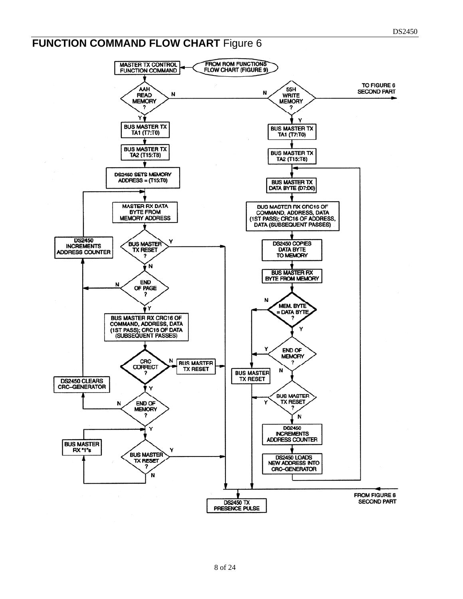# **FUNCTION COMMAND FLOW CHART** Figure 6

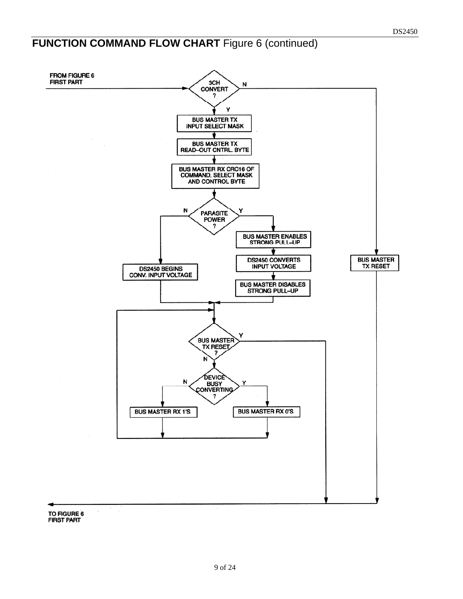# **FUNCTION COMMAND FLOW CHART** Figure 6 (continued)



FIRST PART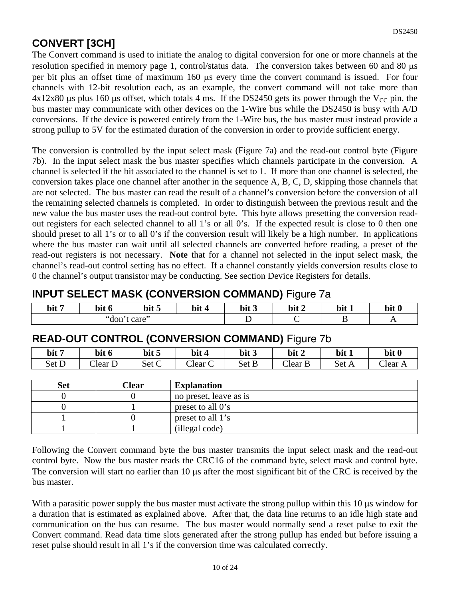# **CONVERT [3CH]**

The Convert command is used to initiate the analog to digital conversion for one or more channels at the resolution specified in memory page 1, control/status data. The conversion takes between 60 and 80 μs per bit plus an offset time of maximum 160 μs every time the convert command is issued. For four channels with 12-bit resolution each, as an example, the convert command will not take more than  $4x12x80$  μs plus 160 μs offset, which totals 4 ms. If the DS2450 gets its power through the V<sub>CC</sub> pin, the bus master may communicate with other devices on the 1-Wire bus while the DS2450 is busy with A/D conversions. If the device is powered entirely from the 1-Wire bus, the bus master must instead provide a strong pullup to 5V for the estimated duration of the conversion in order to provide sufficient energy.

The conversion is controlled by the input select mask (Figure 7a) and the read-out control byte (Figure 7b). In the input select mask the bus master specifies which channels participate in the conversion. A channel is selected if the bit associated to the channel is set to 1. If more than one channel is selected, the conversion takes place one channel after another in the sequence A, B, C, D, skipping those channels that are not selected. The bus master can read the result of a channel's conversion before the conversion of all the remaining selected channels is completed. In order to distinguish between the previous result and the new value the bus master uses the read-out control byte. This byte allows presetting the conversion readout registers for each selected channel to all 1's or all 0's. If the expected result is close to 0 then one should preset to all 1's or to all 0's if the conversion result will likely be a high number. In applications where the bus master can wait until all selected channels are converted before reading, a preset of the read-out registers is not necessary. **Note** that for a channel not selected in the input select mask, the channel's read-out control setting has no effect. If a channel constantly yields conversion results close to 0 the channel's output transistor may be conducting. See section Device Registers for details.

## **INPUT SELECT MASK (CONVERSION COMMAND)** Figure 7a

| bit 7 | bit<br>v | bit 5 | bit | $\cdots$<br>bit <sub>3</sub> | bit 2 | bit<br><b>A</b> | bit 0                    |
|-------|----------|-------|-----|------------------------------|-------|-----------------|--------------------------|
|       | "don     | care  |     |                              |       |                 | $\overline{\phantom{a}}$ |

#### **READ-OUT CONTROL (CONVERSION COMMAND)** Figure 7b

| bit 7 | bit 6   | bit 5 | bit          | bit 3 | bit 2 | bit 1 | bit 0 |
|-------|---------|-------|--------------|-------|-------|-------|-------|
| Set D | Clear D | Set C | $C$ lear $C$ | Set B | Clear | Set A | Clear |

| Set | Clear | <b>Explanation</b>     |
|-----|-------|------------------------|
|     |       | no preset, leave as is |
|     |       | preset to all 0's      |
|     |       | preset to all 1's      |
|     |       | (illegal code)         |

Following the Convert command byte the bus master transmits the input select mask and the read-out control byte. Now the bus master reads the CRC16 of the command byte, select mask and control byte. The conversion will start no earlier than 10 μs after the most significant bit of the CRC is received by the bus master.

With a parasitic power supply the bus master must activate the strong pullup within this 10 μs window for a duration that is estimated as explained above. After that, the data line returns to an idle high state and communication on the bus can resume. The bus master would normally send a reset pulse to exit the Convert command. Read data time slots generated after the strong pullup has ended but before issuing a reset pulse should result in all 1's if the conversion time was calculated correctly.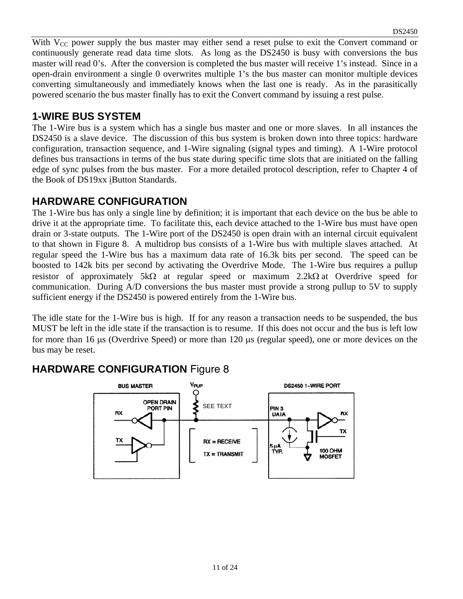With  $V_{CC}$  power supply the bus master may either send a reset pulse to exit the Convert command or continuously generate read data time slots. As long as the DS2450 is busy with conversions the bus master will read 0's. After the conversion is completed the bus master will receive 1's instead. Since in a open-drain environment a single 0 overwrites multiple 1's the bus master can monitor multiple devices converting simultaneously and immediately knows when the last one is ready. As in the parasitically powered scenario the bus master finally has to exit the Convert command by issuing a rest pulse.

#### **1-WIRE BUS SYSTEM**

The 1-Wire bus is a system which has a single bus master and one or more slaves. In all instances the DS2450 is a slave device. The discussion of this bus system is broken down into three topics: hardware configuration, transaction sequence, and 1-Wire signaling (signal types and timing). A 1-Wire protocol defines bus transactions in terms of the bus state during specific time slots that are initiated on the falling edge of sync pulses from the bus master. For a more detailed protocol description, refer to Chapter 4 of the Book of DS19xx iButton Standards.

#### **HARDWARE CONFIGURATION**

The 1-Wire bus has only a single line by definition; it is important that each device on the bus be able to drive it at the appropriate time. To facilitate this, each device attached to the 1-Wire bus must have open drain or 3-state outputs. The 1-Wire port of the DS2450 is open drain with an internal circuit equivalent to that shown in Figure 8. A multidrop bus consists of a 1-Wire bus with multiple slaves attached. At regular speed the 1-Wire bus has a maximum data rate of 16.3k bits per second. The speed can be boosted to 142k bits per second by activating the Overdrive Mode. The 1-Wire bus requires a pullup resistor of approximately 5k $\Omega$  at regular speed or maximum 2.2k $\Omega$  at Overdrive speed for communication. During A/D conversions the bus master must provide a strong pullup to 5V to supply sufficient energy if the DS2450 is powered entirely from the 1-Wire bus.

The idle state for the 1-Wire bus is high. If for any reason a transaction needs to be suspended, the bus MUST be left in the idle state if the transaction is to resume. If this does not occur and the bus is left low for more than 16 μs (Overdrive Speed) or more than 120 μs (regular speed), one or more devices on the bus may be reset.

# **HARDWARE CONFIGURATION** Figure 8

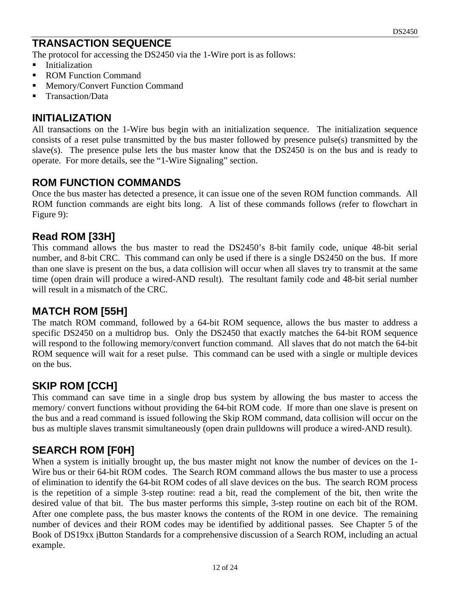## **TRANSACTION SEQUENCE**

The protocol for accessing the DS2450 via the 1-Wire port is as follows:

- **Initialization**
- ROM Function Command
- **Memory/Convert Function Command**
- Transaction/Data

#### **INITIALIZATION**

All transactions on the 1-Wire bus begin with an initialization sequence. The initialization sequence consists of a reset pulse transmitted by the bus master followed by presence pulse(s) transmitted by the slave(s). The presence pulse lets the bus master know that the DS2450 is on the bus and is ready to operate. For more details, see the "1-Wire Signaling" section.

#### **ROM FUNCTION COMMANDS**

Once the bus master has detected a presence, it can issue one of the seven ROM function commands. All ROM function commands are eight bits long. A list of these commands follows (refer to flowchart in Figure 9):

#### **Read ROM [33H]**

This command allows the bus master to read the DS2450's 8-bit family code, unique 48-bit serial number, and 8-bit CRC. This command can only be used if there is a single DS2450 on the bus. If more than one slave is present on the bus, a data collision will occur when all slaves try to transmit at the same time (open drain will produce a wired-AND result). The resultant family code and 48-bit serial number will result in a mismatch of the CRC.

#### **MATCH ROM [55H]**

The match ROM command, followed by a 64-bit ROM sequence, allows the bus master to address a specific DS2450 on a multidrop bus. Only the DS2450 that exactly matches the 64-bit ROM sequence will respond to the following memory/convert function command. All slaves that do not match the 64-bit ROM sequence will wait for a reset pulse. This command can be used with a single or multiple devices on the bus.

#### **SKIP ROM [CCH]**

This command can save time in a single drop bus system by allowing the bus master to access the memory/ convert functions without providing the 64-bit ROM code. If more than one slave is present on the bus and a read command is issued following the Skip ROM command, data collision will occur on the bus as multiple slaves transmit simultaneously (open drain pulldowns will produce a wired-AND result).

#### **SEARCH ROM [F0H]**

When a system is initially brought up, the bus master might not know the number of devices on the 1- Wire bus or their 64-bit ROM codes. The Search ROM command allows the bus master to use a process of elimination to identify the 64-bit ROM codes of all slave devices on the bus. The search ROM process is the repetition of a simple 3-step routine: read a bit, read the complement of the bit, then write the desired value of that bit. The bus master performs this simple, 3-step routine on each bit of the ROM. After one complete pass, the bus master knows the contents of the ROM in one device. The remaining number of devices and their ROM codes may be identified by additional passes. See Chapter 5 of the Book of DS19xx iButton Standards for a comprehensive discussion of a Search ROM, including an actual example.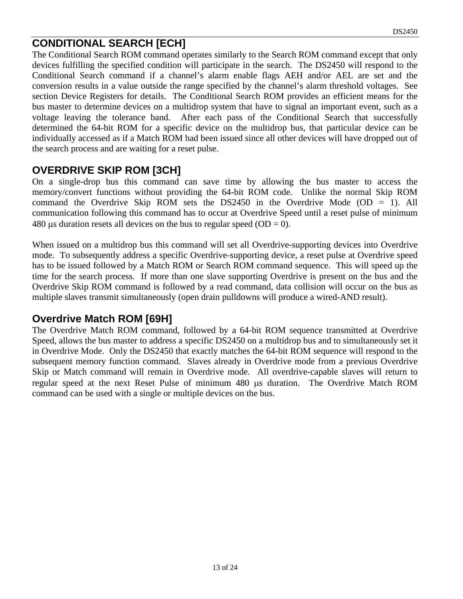## **CONDITIONAL SEARCH [ECH]**

The Conditional Search ROM command operates similarly to the Search ROM command except that only devices fulfilling the specified condition will participate in the search. The DS2450 will respond to the Conditional Search command if a channel's alarm enable flags AEH and/or AEL are set and the conversion results in a value outside the range specified by the channel's alarm threshold voltages. See section Device Registers for details. The Conditional Search ROM provides an efficient means for the bus master to determine devices on a multidrop system that have to signal an important event, such as a voltage leaving the tolerance band. After each pass of the Conditional Search that successfully determined the 64-bit ROM for a specific device on the multidrop bus, that particular device can be individually accessed as if a Match ROM had been issued since all other devices will have dropped out of the search process and are waiting for a reset pulse.

#### **OVERDRIVE SKIP ROM [3CH]**

On a single-drop bus this command can save time by allowing the bus master to access the memory/convert functions without providing the 64-bit ROM code. Unlike the normal Skip ROM command the Overdrive Skip ROM sets the DS2450 in the Overdrive Mode (OD = 1). All communication following this command has to occur at Overdrive Speed until a reset pulse of minimum 480 μs duration resets all devices on the bus to regular speed (OD = 0).

When issued on a multidrop bus this command will set all Overdrive-supporting devices into Overdrive mode. To subsequently address a specific Overdrive-supporting device, a reset pulse at Overdrive speed has to be issued followed by a Match ROM or Search ROM command sequence. This will speed up the time for the search process. If more than one slave supporting Overdrive is present on the bus and the Overdrive Skip ROM command is followed by a read command, data collision will occur on the bus as multiple slaves transmit simultaneously (open drain pulldowns will produce a wired-AND result).

#### **Overdrive Match ROM [69H]**

The Overdrive Match ROM command, followed by a 64-bit ROM sequence transmitted at Overdrive Speed, allows the bus master to address a specific DS2450 on a multidrop bus and to simultaneously set it in Overdrive Mode. Only the DS2450 that exactly matches the 64-bit ROM sequence will respond to the subsequent memory function command. Slaves already in Overdrive mode from a previous Overdrive Skip or Match command will remain in Overdrive mode. All overdrive-capable slaves will return to regular speed at the next Reset Pulse of minimum 480 μs duration. The Overdrive Match ROM command can be used with a single or multiple devices on the bus.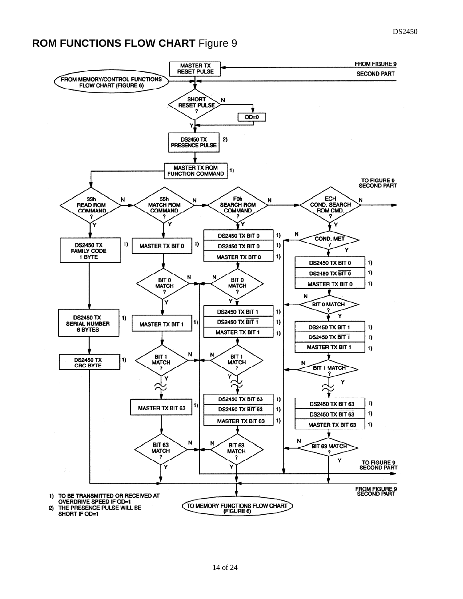# **ROM FUNCTIONS FLOW CHART Figure 9**

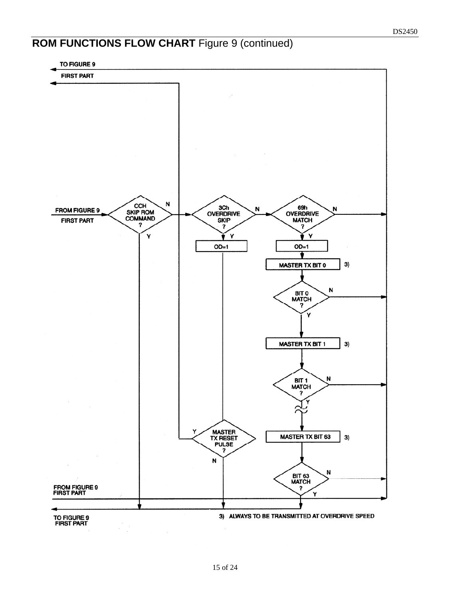# **ROM FUNCTIONS FLOW CHART** Figure 9 (continued)

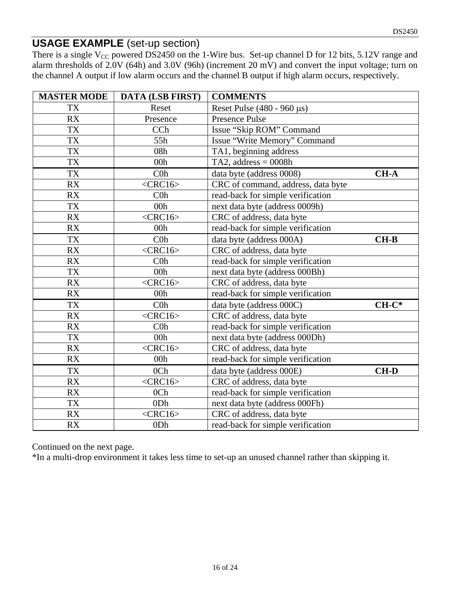#### **USAGE EXAMPLE** (set-up section)

There is a single  $V_{CC}$  powered DS2450 on the 1-Wire bus. Set-up channel D for 12 bits, 5.12V range and alarm thresholds of 2.0V (64h) and 3.0V (96h) (increment 20 mV) and convert the input voltage; turn on the channel A output if low alarm occurs and the channel B output if high alarm occurs, respectively.

| <b>MASTER MODE</b> | <b>DATA (LSB FIRST)</b> | <b>COMMENTS</b>                    |             |
|--------------------|-------------------------|------------------------------------|-------------|
| <b>TX</b>          | Reset                   | Reset Pulse $(480 - 960 \,\mu s)$  |             |
| <b>RX</b>          | Presence                | <b>Presence Pulse</b>              |             |
| <b>TX</b>          | CCh                     | Issue "Skip ROM" Command           |             |
| <b>TX</b>          | 55h                     | Issue "Write Memory" Command       |             |
| <b>TX</b>          | 08h                     | TA1, beginning address             |             |
| <b>TX</b>          | 00h                     | TA2, address = $0008h$             |             |
| <b>TX</b>          | C <sub>0</sub>          | data byte (address 0008)           | <b>CH-A</b> |
| RX                 | $<$ CRC16>              | CRC of command, address, data byte |             |
| <b>RX</b>          | C <sub>0</sub>          | read-back for simple verification  |             |
| <b>TX</b>          | 00h                     | next data byte (address 0009h)     |             |
| RX                 | $<$ CRC16>              | CRC of address, data byte          |             |
| RX                 | 00h                     | read-back for simple verification  |             |
| <b>TX</b>          | C <sub>0</sub>          | data byte (address 000A)           | $CH-B$      |
| RX                 | $<$ CRC16>              | CRC of address, data byte          |             |
| RX                 | C <sub>0</sub>          | read-back for simple verification  |             |
| <b>TX</b>          | 00h                     | next data byte (address 000Bh)     |             |
| RX                 | $<$ CRC16>              | CRC of address, data byte          |             |
| RX                 | 00h                     | read-back for simple verification  |             |
| TX                 | C <sub>0</sub>          | data byte (address 000C)           | $CH-C^*$    |
| RX                 | $<$ CRC16>              | CRC of address, data byte          |             |
| <b>RX</b>          | C <sub>0</sub>          | read-back for simple verification  |             |
| TX                 | 00h                     | next data byte (address 000Dh)     |             |
| RX                 | $<$ CRC16>              | CRC of address, data byte          |             |
| RX                 | 00 <sub>h</sub>         | read-back for simple verification  |             |
| <b>TX</b>          | 0 <sub>Ch</sub>         | data byte (address 000E)           | <b>CH-D</b> |
| <b>RX</b>          | $<$ CRC16>              | CRC of address, data byte          |             |
| RX                 | 0 <sub>Ch</sub>         | read-back for simple verification  |             |
| TX                 | 0Dh                     | next data byte (address 000Fh)     |             |
| RX                 | $<$ CRC16>              | CRC of address, data byte          |             |
| RX                 | 0Dh                     | read-back for simple verification  |             |

Continued on the next page.

\*In a multi-drop environment it takes less time to set-up an unused channel rather than skipping it.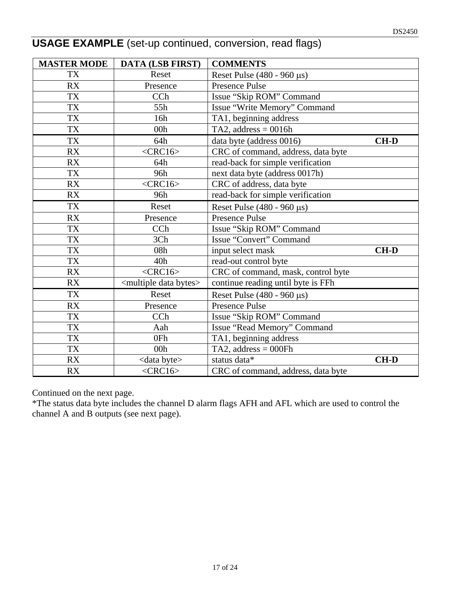| <b>USAGE EXAMPLE</b> (set-up continued, conversion, read flags) |  |  |  |
|-----------------------------------------------------------------|--|--|--|
|-----------------------------------------------------------------|--|--|--|

| <b>MASTER MODE</b> | <b>DATA (LSB FIRST)</b>                | <b>COMMENTS</b>                    |             |
|--------------------|----------------------------------------|------------------------------------|-------------|
| TX                 | Reset                                  | Reset Pulse $(480 - 960 \,\mu s)$  |             |
| <b>RX</b>          | Presence                               | <b>Presence Pulse</b>              |             |
| TX                 | CCh                                    | Issue "Skip ROM" Command           |             |
| TX                 | 55h                                    | Issue "Write Memory" Command       |             |
| <b>TX</b>          | 16h                                    | TA1, beginning address             |             |
| TX                 | 00h                                    | TA2, address = $0016h$             |             |
| <b>TX</b>          | 64h                                    | data byte (address 0016)           | $CH-D$      |
| <b>RX</b>          | $<$ CRC16>                             | CRC of command, address, data byte |             |
| <b>RX</b>          | 64h                                    | read-back for simple verification  |             |
| TX                 | 96h                                    | next data byte (address 0017h)     |             |
| RX                 | $<$ CRC16>                             | CRC of address, data byte          |             |
| <b>RX</b>          | 96h                                    | read-back for simple verification  |             |
| TX                 | Reset                                  | Reset Pulse $(480 - 960 \,\mu s)$  |             |
| <b>RX</b>          | Presence                               | <b>Presence Pulse</b>              |             |
| TX                 | CCh                                    | Issue "Skip ROM" Command           |             |
| TX                 | 3Ch                                    | Issue "Convert" Command            |             |
| TX                 | 08h                                    | input select mask                  | <b>CH-D</b> |
| TX                 | 40h                                    | read-out control byte              |             |
| RX                 | $<$ CRC16>                             | CRC of command, mask, control byte |             |
| RX                 | <multiple bytes="" data=""></multiple> | continue reading until byte is FFh |             |
| TX                 | Reset                                  | Reset Pulse $(480 - 960 \,\mu s)$  |             |
| <b>RX</b>          | Presence                               | <b>Presence Pulse</b>              |             |
| TX                 | CCh                                    | Issue "Skip ROM" Command           |             |
| <b>TX</b>          | Aah                                    | Issue "Read Memory" Command        |             |
| TX                 | 0Fh                                    | TA1, beginning address             |             |
| <b>TX</b>          | 00h                                    | TA2, address $= 000Fh$             |             |
| <b>RX</b>          | <data byte=""></data>                  | status data*                       | <b>CH-D</b> |
| <b>RX</b>          | $<$ CRC16>                             | CRC of command, address, data byte |             |

Continued on the next page.

\*The status data byte includes the channel D alarm flags AFH and AFL which are used to control the channel A and B outputs (see next page).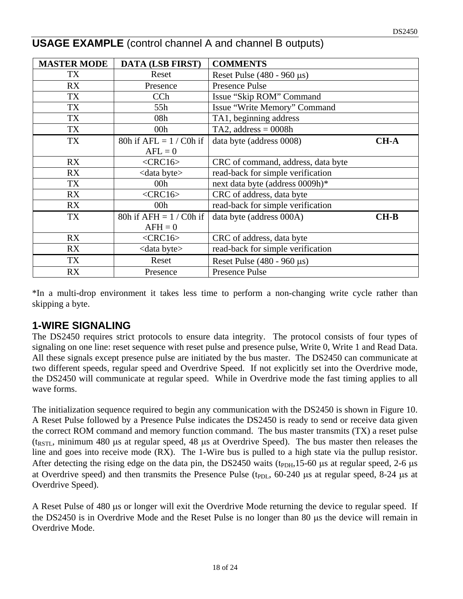| <b>MASTER MODE</b> | <b>DATA (LSB FIRST)</b>   | <b>COMMENTS</b>                    |             |
|--------------------|---------------------------|------------------------------------|-------------|
| TX                 | Reset                     | Reset Pulse $(480 - 960 \,\mu s)$  |             |
| RX                 | Presence                  | Presence Pulse                     |             |
| TX                 | CCh                       | Issue "Skip ROM" Command           |             |
| TX                 | 55h                       | Issue "Write Memory" Command       |             |
| TX                 | 08h                       | TA1, beginning address             |             |
| TX                 | 00 <sub>h</sub>           | TA2, address = $0008h$             |             |
| TX                 | 80h if $AFL = 1 / C0h$ if | data byte (address 0008)           | <b>CH-A</b> |
|                    | $AFL = 0$                 |                                    |             |
| RX                 | $<$ CRC16>                | CRC of command, address, data byte |             |
| RX                 | <data byte=""></data>     | read-back for simple verification  |             |
| TX                 | 00h                       | next data byte (address 0009h)*    |             |
| RX                 | $<$ CRC16>                | CRC of address, data byte          |             |
| RX                 | 00 <sub>h</sub>           | read-back for simple verification  |             |
| TX                 | 80h if $AFH = 1 / C0h$ if | data byte (address 000A)           | $CH-B$      |
|                    | $AFH = 0$                 |                                    |             |
| RX                 | $<$ CRC16>                | CRC of address, data byte          |             |
| RX                 | <data byte=""></data>     | read-back for simple verification  |             |
| TX                 | Reset                     | Reset Pulse $(480 - 960 \,\mu s)$  |             |
| <b>RX</b>          | Presence                  | <b>Presence Pulse</b>              |             |

## **USAGE EXAMPLE** (control channel A and channel B outputs)

\*In a multi-drop environment it takes less time to perform a non-changing write cycle rather than skipping a byte.

#### **1-WIRE SIGNALING**

The DS2450 requires strict protocols to ensure data integrity. The protocol consists of four types of signaling on one line: reset sequence with reset pulse and presence pulse, Write 0, Write 1 and Read Data. All these signals except presence pulse are initiated by the bus master. The DS2450 can communicate at two different speeds, regular speed and Overdrive Speed. If not explicitly set into the Overdrive mode, the DS2450 will communicate at regular speed. While in Overdrive mode the fast timing applies to all wave forms.

The initialization sequence required to begin any communication with the DS2450 is shown in Figure 10. A Reset Pulse followed by a Presence Pulse indicates the DS2450 is ready to send or receive data given the correct ROM command and memory function command. The bus master transmits (TX) a reset pulse ( $t_{\text{RSTL}}$ , minimum 480 μs at regular speed, 48 μs at Overdrive Speed). The bus master then releases the line and goes into receive mode (RX). The 1-Wire bus is pulled to a high state via the pullup resistor. After detecting the rising edge on the data pin, the DS2450 waits ( $t_{\text{PDH}}$ , 15-60 μs at regular speed, 2-6 μs at Overdrive speed) and then transmits the Presence Pulse (t<sub>PDL</sub>, 60-240 μs at regular speed, 8-24 μs at Overdrive Speed).

A Reset Pulse of 480 μs or longer will exit the Overdrive Mode returning the device to regular speed. If the DS2450 is in Overdrive Mode and the Reset Pulse is no longer than 80 μs the device will remain in Overdrive Mode.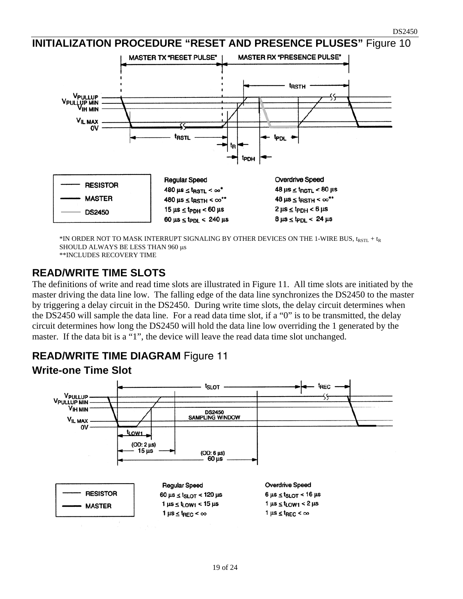#### **INITIALIZATION PROCEDURE "RESET AND PRESENCE PLUSES"** Figure 10



\*IN ORDER NOT TO MASK INTERRUPT SIGNALING BY OTHER DEVICES ON THE 1-WIRE BUS,  $t_{RSTL} + t_R$ SHOULD ALWAYS BE LESS THAN 960 μs \*\*INCLUDES RECOVERY TIME

#### **READ/WRITE TIME SLOTS**

The definitions of write and read time slots are illustrated in Figure 11. All time slots are initiated by the master driving the data line low. The falling edge of the data line synchronizes the DS2450 to the master by triggering a delay circuit in the DS2450. During write time slots, the delay circuit determines when the DS2450 will sample the data line. For a read data time slot, if a "0" is to be transmitted, the delay circuit determines how long the DS2450 will hold the data line low overriding the 1 generated by the master. If the data bit is a "1", the device will leave the read data time slot unchanged.

#### **READ/WRITE TIME DIAGRAM** Figure 11



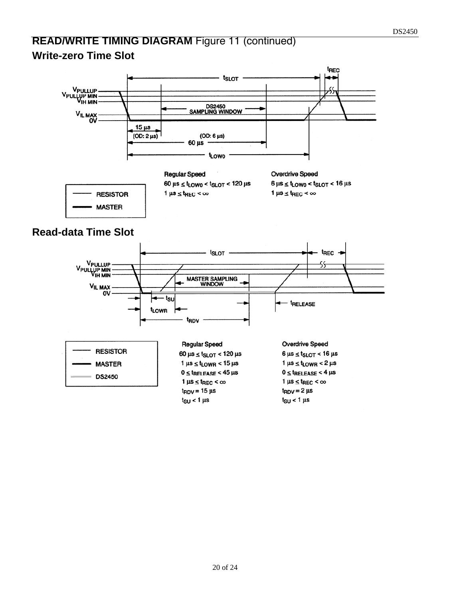## **READ/WRITE TIMING DIAGRAM** Figure 11 (continued) **Write-zero Time Slot**

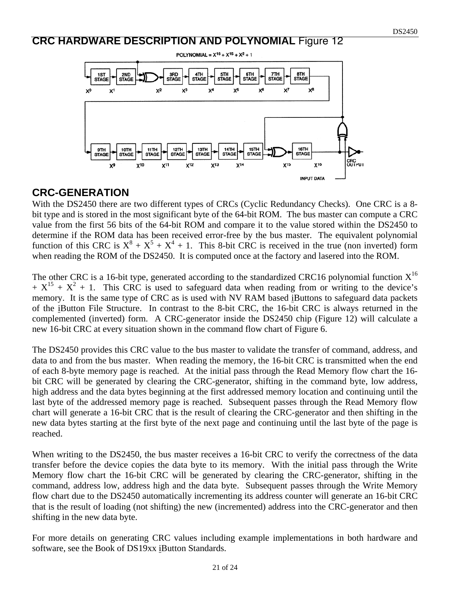#### **CRC HARDWARE DESCRIPTION AND POLYNOMIAL** Figure 12



#### **CRC-GENERATION**

With the DS2450 there are two different types of CRCs (Cyclic Redundancy Checks). One CRC is a 8 bit type and is stored in the most significant byte of the 64-bit ROM. The bus master can compute a CRC value from the first 56 bits of the 64-bit ROM and compare it to the value stored within the DS2450 to determine if the ROM data has been received error-free by the bus master. The equivalent polynomial function of this CRC is  $X^8 + X^5 + X^4 + 1$ . This 8-bit CRC is received in the true (non inverted) form when reading the ROM of the DS2450. It is computed once at the factory and lasered into the ROM.

The other CRC is a 16-bit type, generated according to the standardized CRC16 polynomial function  $X^{16}$  $+ X^{15} + X^2 + 1$ . This CRC is used to safeguard data when reading from or writing to the device's memory. It is the same type of CRC as is used with NV RAM based iButtons to safeguard data packets of the iButton File Structure. In contrast to the 8-bit CRC, the 16-bit CRC is always returned in the complemented (inverted) form. A CRC-generator inside the DS2450 chip (Figure 12) will calculate a new 16-bit CRC at every situation shown in the command flow chart of Figure 6.

The DS2450 provides this CRC value to the bus master to validate the transfer of command, address, and data to and from the bus master. When reading the memory, the 16-bit CRC is transmitted when the end of each 8-byte memory page is reached. At the initial pass through the Read Memory flow chart the 16 bit CRC will be generated by clearing the CRC-generator, shifting in the command byte, low address, high address and the data bytes beginning at the first addressed memory location and continuing until the last byte of the addressed memory page is reached. Subsequent passes through the Read Memory flow chart will generate a 16-bit CRC that is the result of clearing the CRC-generator and then shifting in the new data bytes starting at the first byte of the next page and continuing until the last byte of the page is reached.

When writing to the DS2450, the bus master receives a 16-bit CRC to verify the correctness of the data transfer before the device copies the data byte to its memory. With the initial pass through the Write Memory flow chart the 16-bit CRC will be generated by clearing the CRC-generator, shifting in the command, address low, address high and the data byte. Subsequent passes through the Write Memory flow chart due to the DS2450 automatically incrementing its address counter will generate an 16-bit CRC that is the result of loading (not shifting) the new (incremented) address into the CRC-generator and then shifting in the new data byte.

For more details on generating CRC values including example implementations in both hardware and software, see the Book of DS19xx iButton Standards.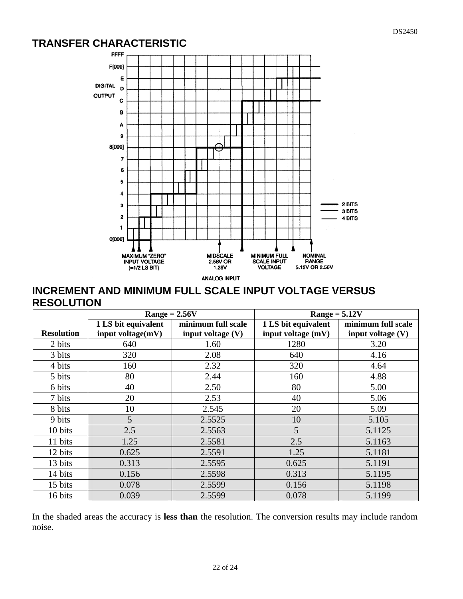## **TRANSFER CHARACTERISTIC**



#### **INCREMENT AND MINIMUM FULL SCALE INPUT VOLTAGE VERSUS RESOLUTION**

|                   |                     | $Range = 2.56V$     | $Range = 5.12V$     |                     |  |  |
|-------------------|---------------------|---------------------|---------------------|---------------------|--|--|
|                   | 1 LS bit equivalent | minimum full scale  | 1 LS bit equivalent | minimum full scale  |  |  |
| <b>Resolution</b> | input voltage(mV)   | input voltage $(V)$ | input voltage (mV)  | input voltage $(V)$ |  |  |
| 2 bits            | 640                 | 1.60                | 1280                | 3.20                |  |  |
| 3 bits            | 320                 | 2.08                | 640                 | 4.16                |  |  |
| 4 bits            | 160                 | 2.32                | 320                 | 4.64                |  |  |
| 5 bits            | 80                  | 2.44                | 160                 | 4.88                |  |  |
| 6 bits            | 40                  | 2.50                | 80                  | 5.00                |  |  |
| 7 bits            | 20                  | 2.53                | 40                  | 5.06                |  |  |
| 8 bits            | 10                  | 2.545               | 20                  | 5.09                |  |  |
| 9 bits            | 5                   | 2.5525              | 10                  | 5.105               |  |  |
| 10 bits           | 2.5                 | 2.5563              | 5                   | 5.1125              |  |  |
| 11 bits           | 1.25                | 2.5581              | 2.5                 | 5.1163              |  |  |
| 12 bits           | 0.625               | 2.5591              | 1.25                | 5.1181              |  |  |
| 13 bits           | 0.313               | 2.5595              | 0.625               | 5.1191              |  |  |
| 14 bits           | 0.156               | 2.5598              | 0.313               | 5.1195              |  |  |
| 15 bits           | 0.078               | 2.5599              | 0.156               | 5.1198              |  |  |
| 16 bits           | 0.039               | 2.5599              | 0.078               | 5.1199              |  |  |

In the shaded areas the accuracy is **less than** the resolution. The conversion results may include random noise.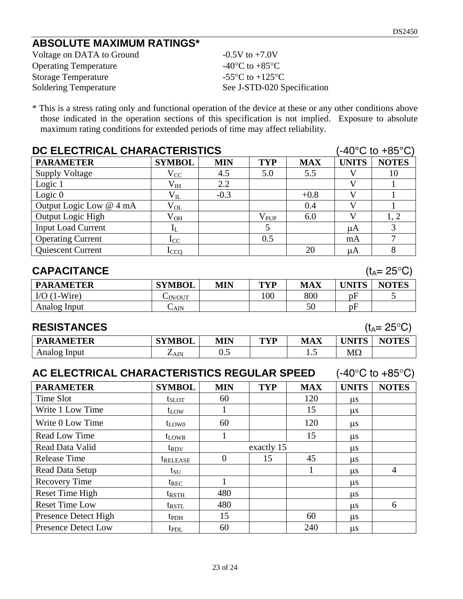# **ABSOLUTE MAXIMUM RATINGS\***

| Voltage on DATA to Ground    | $-0.5V$ to $+7.0V$                                    |
|------------------------------|-------------------------------------------------------|
| <b>Operating Temperature</b> | -40 $^{\circ}$ C to +85 $^{\circ}$ C                  |
| <b>Storage Temperature</b>   | -55 $\mathrm{^{\circ}C}$ to +125 $\mathrm{^{\circ}C}$ |
| <b>Soldering Temperature</b> | See J-STD-020 Specification                           |

\* This is a stress rating only and functional operation of the device at these or any other conditions above those indicated in the operation sections of this specification is not implied. Exposure to absolute maximum rating conditions for extended periods of time may affect reliability.

| DC ELECTRICAL CHARACTERISTICS<br>$-40^{\circ}$ C to $+85^{\circ}$ C) |               |            |            |            |                         |                       |
|----------------------------------------------------------------------|---------------|------------|------------|------------|-------------------------|-----------------------|
| <b>PARAMETER</b>                                                     | <b>SYMBOL</b> | <b>MIN</b> | <b>TYP</b> | <b>MAX</b> | <b>UNITS</b>            | <b>NOTES</b>          |
| <b>Supply Voltage</b>                                                | $\rm V_{CC}$  | 4.5        | 5.0        | 5.5        | V                       | 10                    |
| Logic 1                                                              | $\rm V_{IH}$  | 2.2        |            |            | V                       |                       |
| Logic $0$                                                            | $\rm V_{II}$  | $-0.3$     |            | $+0.8$     | $\overline{\mathsf{V}}$ | $\mathbf{1}$          |
| Output Logic Low @ 4 mA                                              | $\rm V_{OL}$  |            |            | 0.4        | $\overline{\mathsf{V}}$ |                       |
| Output Logic High                                                    | $\rm V_{OH}$  |            | $V_{PUP}$  | 6.0        | V                       | 1, 2                  |
| <b>Input Load Current</b>                                            | $I_{L}$       |            | 5          |            | $\mu A$                 | 3                     |
| <b>Operating Current</b>                                             | $\rm I_{CC}$  |            | 0.5        |            | mA                      | $\overline{7}$        |
| Quiescent Current                                                    | $1_{CCQ}$     |            |            | 20         | $\mu A$                 | 8                     |
| <b>CAPACITANCE</b>                                                   |               |            |            |            |                         | $(t_A = 25^{\circ}C)$ |
| <b>PARAMETER</b>                                                     | <b>SYMBOL</b> | <b>MIN</b> | <b>TYP</b> | <b>MAX</b> | <b>UNITS</b>            | <b>NOTES</b>          |
| $I/O$ (1-Wire)                                                       | $C_{IN/OUT}$  |            | 100        | 800        | pF                      | 5                     |
| Analog Input                                                         | $C_{AIN}$     |            |            | 50         | pF                      |                       |
| <b>RESISTANCES</b><br>$(t_A = 25^{\circ}C)$                          |               |            |            |            |                         |                       |
| <b>PARAMETER</b>                                                     | <b>SYMBOL</b> | <b>MIN</b> | <b>TYP</b> | <b>MAX</b> | <b>UNITS</b>            | <b>NOTES</b>          |
| Analog Input                                                         | $Z_{AIN}$     | 0.5        |            | 1.5        | $M\Omega$               |                       |

| AC ELECTRICAL CHARACTERISTICS REGULAR SPEED |  |  | $(-40^{\circ}$ C to $+85^{\circ}$ C) |
|---------------------------------------------|--|--|--------------------------------------|
|                                             |  |  |                                      |

| <b>PARAMETER</b>           | <b>SYMBOL</b>          | <b>MIN</b> | <b>TYP</b> | <b>MAX</b> | <b>UNITS</b> | <b>NOTES</b> |
|----------------------------|------------------------|------------|------------|------------|--------------|--------------|
| Time Slot                  | $t_{SLOT}$             | 60         |            | 120        | $\mu$ s      |              |
| Write 1 Low Time           | $t_{LOW}$              |            |            | 15         | $\mu$ s      |              |
| Write 0 Low Time           | $t_{LOW0}$             | 60         |            | 120        | $\mu$ s      |              |
| Read Low Time              | $t_{LOWR}$             | I.         |            | 15         | $\mu$ s      |              |
| Read Data Valid            | $t_{\rm{RDV}}$         |            | exactly 15 |            | $\mu$ s      |              |
| <b>Release Time</b>        | <i><b>TRELEASE</b></i> | 0          | 15         | 45         | $\mu$ s      |              |
| Read Data Setup            | $t_{\rm SU}$           |            |            |            | $\mu$ s      | 4            |
| <b>Recovery Time</b>       | $t_{REC}$              |            |            |            | $\mu$ s      |              |
| Reset Time High            | t <sub>rsth</sub>      | 480        |            |            | $\mu$ s      |              |
| <b>Reset Time Low</b>      | $t_{\text{RSTL}}$      | 480        |            |            | $\mu$ s      | 6            |
| Presence Detect High       | $t_{\rm{PDH}}$         | 15         |            | 60         | $\mu$ s      |              |
| <b>Presence Detect Low</b> | $t_{PDL}$              | 60         |            | 240        | $\mu$ s      |              |